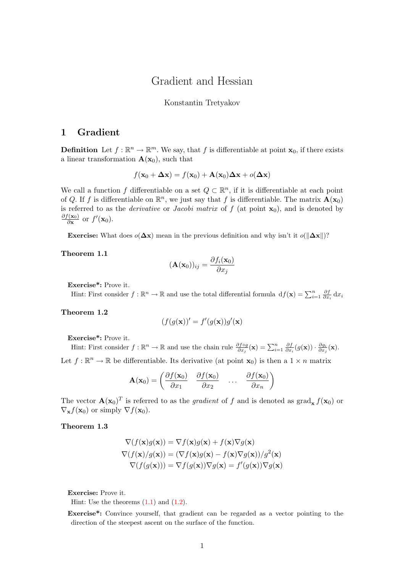# Gradient and Hessian

### Konstantin Tretyakov

## 1 Gradient

**Definition** Let  $f : \mathbb{R}^n \to \mathbb{R}^m$ . We say, that f is differentiable at point  $\mathbf{x}_0$ , if there exists a linear transformation  $\mathbf{A}(\mathbf{x}_0)$ , such that

$$
f(\mathbf{x}_0 + \Delta \mathbf{x}) = f(\mathbf{x}_0) + \mathbf{A}(\mathbf{x}_0) \Delta \mathbf{x} + o(\Delta \mathbf{x})
$$

We call a function f differentiable on a set  $Q \subset \mathbb{R}^n$ , if it is differentiable at each point of Q. If f is differentiable on  $\mathbb{R}^n$ , we just say that f is differentiable. The matrix  $\mathbf{A}(\mathbf{x}_0)$ is referred to as the *derivative* or *Jacobi matrix* of f (at point  $\mathbf{x}_0$ ), and is denoted by  $\partial f(\mathbf{x}_0)$  $\frac{f(\mathbf{x}_0)}{\partial \mathbf{x}}$  or  $f'(\mathbf{x}_0)$ .

**Exercise:** What does  $o(\Delta x)$  mean in the previous definition and why isn't it  $o(\|\Delta x\|)$ ?

#### <span id="page-0-0"></span>Theorem 1.1

$$
(\mathbf{A}(\mathbf{x}_0))_{ij} = \frac{\partial f_i(\mathbf{x}_0)}{\partial x_j}
$$

Exercise\*: Prove it.

Hint: First consider  $f : \mathbb{R}^n \to \mathbb{R}$  and use the total differential formula  $df(\mathbf{x}) = \sum_{i=1}^n \frac{\partial f}{\partial x_i} dx_i$ 

#### <span id="page-0-1"></span>Theorem 1.2

$$
(f(g(\mathbf{x}))' = f'(g(\mathbf{x}))g'(\mathbf{x}))
$$

Exercise\*: Prove it.

Hint: First consider  $f : \mathbb{R}^n \to \mathbb{R}$  and use the chain rule  $\frac{\partial f \circ g}{\partial x_j}(\mathbf{x}) = \sum_{i=1}^n \frac{\partial f}{\partial x_i}(g(\mathbf{x})) \cdot \frac{\partial g_i}{\partial x_j}(\mathbf{x})$ .

Let  $f : \mathbb{R}^n \to \mathbb{R}$  be differentiable. Its derivative (at point  $\mathbf{x}_0$ ) is then a  $1 \times n$  matrix

$$
\mathbf{A}(\mathbf{x}_0) = \begin{pmatrix} \frac{\partial f(\mathbf{x}_0)}{\partial x_1} & \frac{\partial f(\mathbf{x}_0)}{\partial x_2} & \dots & \frac{\partial f(\mathbf{x}_0)}{\partial x_n} \end{pmatrix}
$$

The vector  $\mathbf{A}(\mathbf{x}_0)^T$  is referred to as the *gradient* of f and is denoted as  $\text{grad}_{\mathbf{x}} f(\mathbf{x}_0)$  or  $\nabla_{\mathbf{x}} f(\mathbf{x}_0)$  or simply  $\nabla f(\mathbf{x}_0)$ .

#### Theorem 1.3

$$
\nabla(f(\mathbf{x})g(\mathbf{x})) = \nabla f(\mathbf{x})g(\mathbf{x}) + f(\mathbf{x})\nabla g(\mathbf{x})
$$
  

$$
\nabla(f(\mathbf{x})/g(\mathbf{x})) = (\nabla f(\mathbf{x})g(\mathbf{x}) - f(\mathbf{x})\nabla g(\mathbf{x}))/g^{2}(\mathbf{x})
$$
  

$$
\nabla(f(g(\mathbf{x}))) = \nabla f(g(\mathbf{x}))\nabla g(\mathbf{x}) = f'(g(\mathbf{x}))\nabla g(\mathbf{x})
$$

Exercise: Prove it.

Hint: Use the theorems  $(1.1)$  and  $(1.2)$ .

Exercise\*: Convince yourself, that gradient can be regarded as a vector pointing to the direction of the steepest ascent on the surface of the function.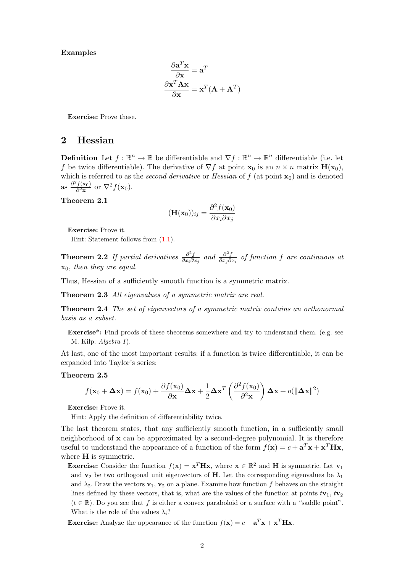Examples

$$
\frac{\partial \mathbf{a}^T \mathbf{x}}{\partial \mathbf{x}} = \mathbf{a}^T
$$

$$
\frac{\partial \mathbf{x}^T \mathbf{A} \mathbf{x}}{\partial \mathbf{x}} = \mathbf{x}^T (\mathbf{A} + \mathbf{A}^T)
$$

Exercise: Prove these.

### 2 Hessian

**Definition** Let  $f : \mathbb{R}^n \to \mathbb{R}$  be differentiable and  $\nabla f : \mathbb{R}^n \to \mathbb{R}^n$  differentiable (i.e. let f be twice differentiable). The derivative of  $\nabla f$  at point  $\mathbf{x}_0$  is an  $n \times n$  matrix  $\mathbf{H}(\mathbf{x}_0)$ , which is referred to as the *second derivative* or *Hessian* of  $f$  (at point  $\mathbf{x}_0$ ) and is denoted as  $\frac{\partial^2 f(\mathbf{x}_0)}{\partial^2 \mathbf{x}}$  $\frac{f(\mathbf{x}_0)}{\partial^2 \mathbf{x}}$  or  $\nabla^2 f(\mathbf{x}_0)$ .

Theorem 2.1

$$
(\mathbf{H}(\mathbf{x}_0))_{ij} = \frac{\partial^2 f(\mathbf{x}_0)}{\partial x_i \partial x_j}
$$

Exercise: Prove it.

Hint: Statement follows from [\(1.1\)](#page-0-0).

**Theorem 2.2** If partial derivatives  $\frac{\partial^2 f}{\partial x \cdot \partial y}$  $\frac{\partial^2 f}{\partial x_i \partial x_j}$  and  $\frac{\partial^2 f}{\partial x_j \partial x_j}$  $\frac{\partial^2 f}{\partial x_j \partial x_i}$  of function f are continuous at  $\mathbf{x}_0$ , then they are equal.

Thus, Hessian of a sufficiently smooth function is a symmetric matrix.

Theorem 2.3 All eigenvalues of a symmetric matrix are real.

Theorem 2.4 The set of eigenvectors of a symmetric matrix contains an orthonormal basis as a subset.

Exercise\*: Find proofs of these theorems somewhere and try to understand them. (e.g. see M. Kilp. Algebra I).

At last, one of the most important results: if a function is twice differentiable, it can be expanded into Taylor's series:

#### Theorem 2.5

$$
f(\mathbf{x}_0 + \Delta \mathbf{x}) = f(\mathbf{x}_0) + \frac{\partial f(\mathbf{x}_0)}{\partial \mathbf{x}} \Delta \mathbf{x} + \frac{1}{2} \Delta \mathbf{x}^T \left( \frac{\partial^2 f(\mathbf{x}_0)}{\partial^2 \mathbf{x}} \right) \Delta \mathbf{x} + o(\|\Delta \mathbf{x}\|^2)
$$

Exercise: Prove it.

Hint: Apply the definition of differentiability twice.

The last theorem states, that any sufficiently smooth function, in a sufficiently small neighborhood of x can be approximated by a second-degree polynomial. It is therefore useful to understand the appearance of a function of the form  $f(\mathbf{x}) = c + \mathbf{a}^T \mathbf{x} + \mathbf{x}^T \mathbf{H} \mathbf{x}$ , where **H** is symmetric.

**Exercise:** Consider the function  $f(\mathbf{x}) = \mathbf{x}^T \mathbf{H} \mathbf{x}$ , where  $\mathbf{x} \in \mathbb{R}^2$  and **H** is symmetric. Let  $\mathbf{v}_1$ and  $\mathbf{v}_2$  be two orthogonal unit eigenvectors of **H**. Let the corresponding eigenvalues be  $\lambda_1$ and  $\lambda_2$ . Draw the vectors  $\mathbf{v}_1, \mathbf{v}_2$  on a plane. Examine how function f behaves on the straight lines defined by these vectors, that is, what are the values of the function at points  $t\mathbf{v}_1$ ,  $t\mathbf{v}_2$  $(t \in \mathbb{R})$ . Do you see that f is either a convex paraboloid or a surface with a "saddle point". What is the role of the values  $\lambda_i$ ?

**Exercise:** Analyze the appearance of the function  $f(\mathbf{x}) = c + \mathbf{a}^T \mathbf{x} + \mathbf{x}^T \mathbf{H} \mathbf{x}$ .